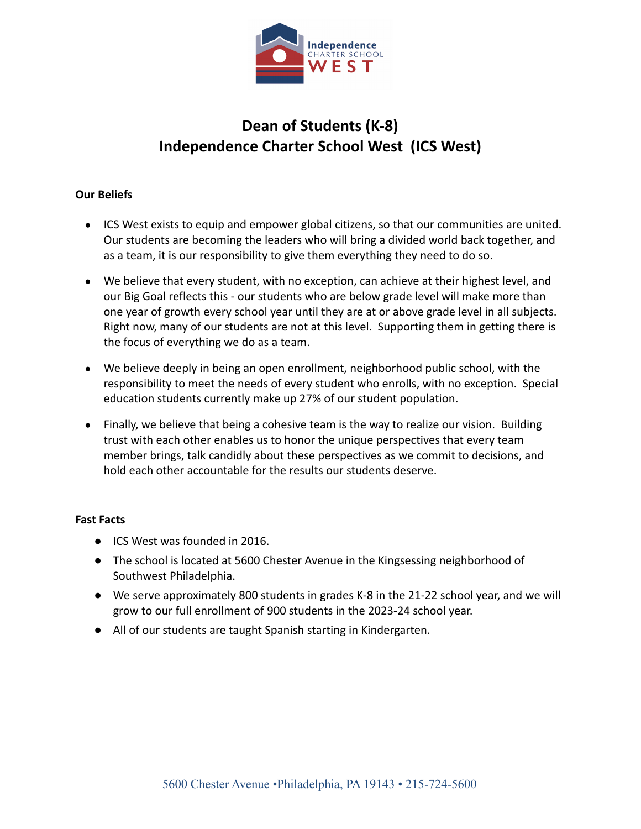

# **Dean of Students (K-8) Independence Charter School West (ICS West)**

# **Our Beliefs**

- ICS West exists to equip and empower global citizens, so that our communities are united. Our students are becoming the leaders who will bring a divided world back together, and as a team, it is our responsibility to give them everything they need to do so.
- We believe that every student, with no exception, can achieve at their highest level, and our Big Goal reflects this - our students who are below grade level will make more than one year of growth every school year until they are at or above grade level in all subjects. Right now, many of our students are not at this level. Supporting them in getting there is the focus of everything we do as a team.
- We believe deeply in being an open enrollment, neighborhood public school, with the responsibility to meet the needs of every student who enrolls, with no exception. Special education students currently make up 27% of our student population.
- Finally, we believe that being a cohesive team is the way to realize our vision. Building trust with each other enables us to honor the unique perspectives that every team member brings, talk candidly about these perspectives as we commit to decisions, and hold each other accountable for the results our students deserve.

### **Fast Facts**

- ICS West was founded in 2016.
- The school is located at 5600 Chester Avenue in the Kingsessing neighborhood of Southwest Philadelphia.
- We serve approximately 800 students in grades K-8 in the 21-22 school year, and we will grow to our full enrollment of 900 students in the 2023-24 school year.
- All of our students are taught Spanish starting in Kindergarten.